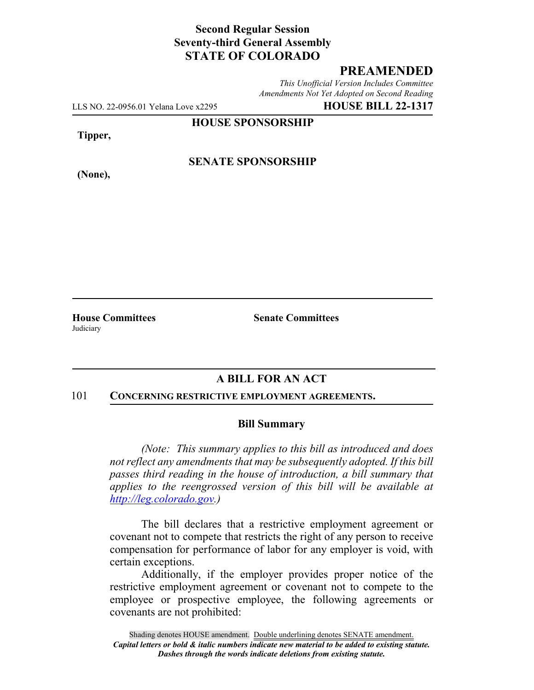### **Second Regular Session Seventy-third General Assembly STATE OF COLORADO**

# **PREAMENDED**

*This Unofficial Version Includes Committee Amendments Not Yet Adopted on Second Reading*

LLS NO. 22-0956.01 Yelana Love x2295 **HOUSE BILL 22-1317**

**HOUSE SPONSORSHIP**

**Tipper,**

**(None),**

**SENATE SPONSORSHIP**

**Judiciary** 

**House Committees Senate Committees**

# **A BILL FOR AN ACT**

#### 101 **CONCERNING RESTRICTIVE EMPLOYMENT AGREEMENTS.**

#### **Bill Summary**

*(Note: This summary applies to this bill as introduced and does not reflect any amendments that may be subsequently adopted. If this bill passes third reading in the house of introduction, a bill summary that applies to the reengrossed version of this bill will be available at http://leg.colorado.gov.)*

The bill declares that a restrictive employment agreement or covenant not to compete that restricts the right of any person to receive compensation for performance of labor for any employer is void, with certain exceptions.

Additionally, if the employer provides proper notice of the restrictive employment agreement or covenant not to compete to the employee or prospective employee, the following agreements or covenants are not prohibited: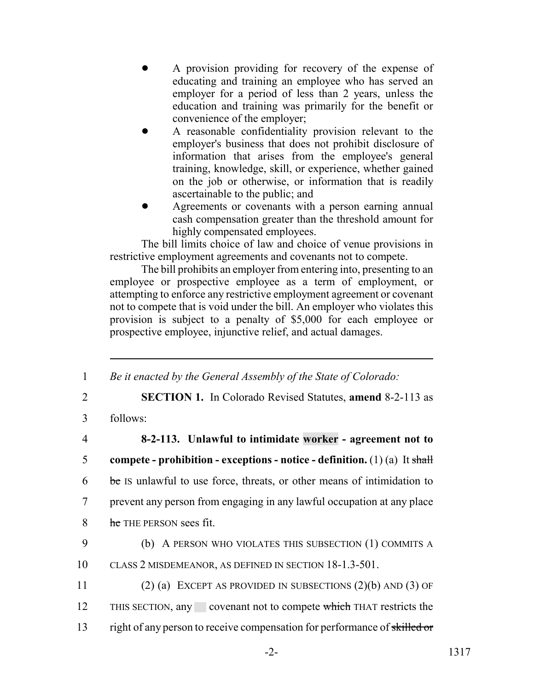- ! A provision providing for recovery of the expense of educating and training an employee who has served an employer for a period of less than 2 years, unless the education and training was primarily for the benefit or convenience of the employer;
- A reasonable confidentiality provision relevant to the employer's business that does not prohibit disclosure of information that arises from the employee's general training, knowledge, skill, or experience, whether gained on the job or otherwise, or information that is readily ascertainable to the public; and
- Agreements or covenants with a person earning annual cash compensation greater than the threshold amount for highly compensated employees.

The bill limits choice of law and choice of venue provisions in restrictive employment agreements and covenants not to compete.

The bill prohibits an employer from entering into, presenting to an employee or prospective employee as a term of employment, or attempting to enforce any restrictive employment agreement or covenant not to compete that is void under the bill. An employer who violates this provision is subject to a penalty of \$5,000 for each employee or prospective employee, injunctive relief, and actual damages.

1 *Be it enacted by the General Assembly of the State of Colorado:*

2 **SECTION 1.** In Colorado Revised Statutes, **amend** 8-2-113 as

3 follows:

- 4 **8-2-113. Unlawful to intimidate worker agreement not to** 5 **compete - prohibition - exceptions - notice - definition.** (1) (a) It shall 6 be IS unlawful to use force, threats, or other means of intimidation to 7 prevent any person from engaging in any lawful occupation at any place 8 he THE PERSON sees fit.
- 9 (b) A PERSON WHO VIOLATES THIS SUBSECTION (1) COMMITS A 10 CLASS 2 MISDEMEANOR, AS DEFINED IN SECTION 18-1.3-501.
- 11 (2) (a) EXCEPT AS PROVIDED IN SUBSECTIONS (2)(b) AND (3) OF 12 THIS SECTION, any covenant not to compete which THAT restricts the 13 right of any person to receive compensation for performance of skilled or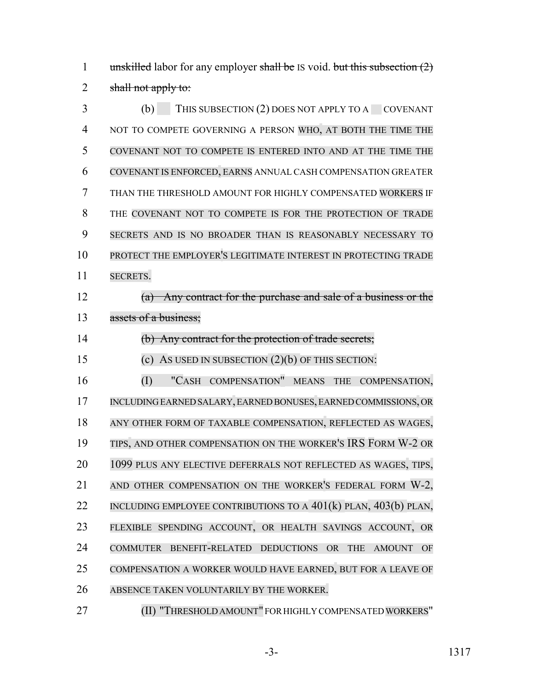1 unskilled labor for any employer shall be IS void. but this subsection  $(2)$ 2 shall not apply to:

3 (b) THIS SUBSECTION (2) DOES NOT APPLY TO A COVENANT NOT TO COMPETE GOVERNING A PERSON WHO, AT BOTH THE TIME THE COVENANT NOT TO COMPETE IS ENTERED INTO AND AT THE TIME THE COVENANT IS ENFORCED, EARNS ANNUAL CASH COMPENSATION GREATER THAN THE THRESHOLD AMOUNT FOR HIGHLY COMPENSATED WORKERS IF THE COVENANT NOT TO COMPETE IS FOR THE PROTECTION OF TRADE SECRETS AND IS NO BROADER THAN IS REASONABLY NECESSARY TO PROTECT THE EMPLOYER'S LEGITIMATE INTEREST IN PROTECTING TRADE SECRETS. (a) Any contract for the purchase and sale of a business or the assets of a business; (b) Any contract for the protection of trade secrets; (c) AS USED IN SUBSECTION (2)(b) OF THIS SECTION: (I) "CASH COMPENSATION" MEANS THE COMPENSATION, INCLUDING EARNED SALARY, EARNED BONUSES, EARNED COMMISSIONS, OR 18 ANY OTHER FORM OF TAXABLE COMPENSATION, REFLECTED AS WAGES, TIPS, AND OTHER COMPENSATION ON THE WORKER'S IRS FORM W-2 OR 1099 PLUS ANY ELECTIVE DEFERRALS NOT REFLECTED AS WAGES, TIPS, 21 AND OTHER COMPENSATION ON THE WORKER'S FEDERAL FORM W-2, INCLUDING EMPLOYEE CONTRIBUTIONS TO A 401(k) PLAN, 403(b) PLAN, FLEXIBLE SPENDING ACCOUNT, OR HEALTH SAVINGS ACCOUNT, OR COMMUTER BENEFIT-RELATED DEDUCTIONS OR THE AMOUNT OF COMPENSATION A WORKER WOULD HAVE EARNED, BUT FOR A LEAVE OF ABSENCE TAKEN VOLUNTARILY BY THE WORKER.

(II) "THRESHOLD AMOUNT" FOR HIGHLY COMPENSATED WORKERS"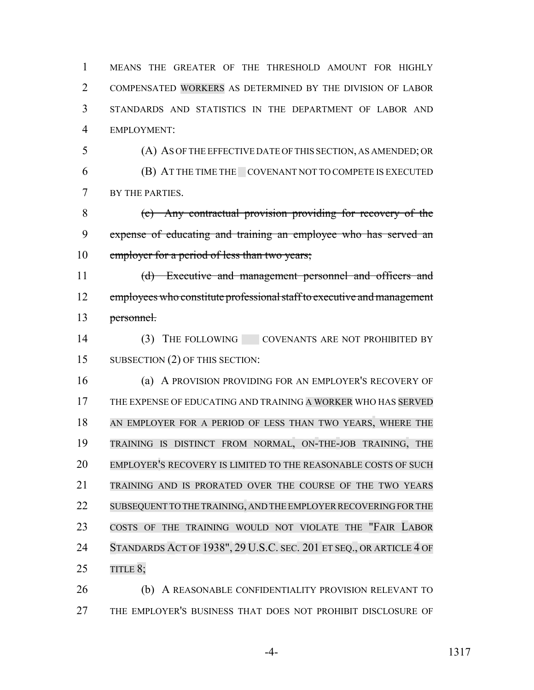MEANS THE GREATER OF THE THRESHOLD AMOUNT FOR HIGHLY COMPENSATED WORKERS AS DETERMINED BY THE DIVISION OF LABOR STANDARDS AND STATISTICS IN THE DEPARTMENT OF LABOR AND EMPLOYMENT:

 (A) AS OF THE EFFECTIVE DATE OF THIS SECTION, AS AMENDED; OR (B) AT THE TIME THE COVENANT NOT TO COMPETE IS EXECUTED BY THE PARTIES.

 (c) Any contractual provision providing for recovery of the expense of educating and training an employee who has served an 10 employer for a period of less than two years;

 (d) Executive and management personnel and officers and 12 employees who constitute professional staff to executive and management personnel.

14 (3) THE FOLLOWING COVENANTS ARE NOT PROHIBITED BY 15 SUBSECTION (2) OF THIS SECTION:

 (a) A PROVISION PROVIDING FOR AN EMPLOYER'S RECOVERY OF THE EXPENSE OF EDUCATING AND TRAINING A WORKER WHO HAS SERVED AN EMPLOYER FOR A PERIOD OF LESS THAN TWO YEARS, WHERE THE TRAINING IS DISTINCT FROM NORMAL, ON-THE-JOB TRAINING, THE EMPLOYER'S RECOVERY IS LIMITED TO THE REASONABLE COSTS OF SUCH TRAINING AND IS PRORATED OVER THE COURSE OF THE TWO YEARS 22 SUBSEQUENT TO THE TRAINING, AND THE EMPLOYER RECOVERING FOR THE COSTS OF THE TRAINING WOULD NOT VIOLATE THE "FAIR LABOR 24 STANDARDS ACT OF 1938", 29 U.S.C. SEC. 201 ET SEQ., OR ARTICLE 4 OF 25 TITLE 8;

 (b) A REASONABLE CONFIDENTIALITY PROVISION RELEVANT TO THE EMPLOYER'S BUSINESS THAT DOES NOT PROHIBIT DISCLOSURE OF

-4- 1317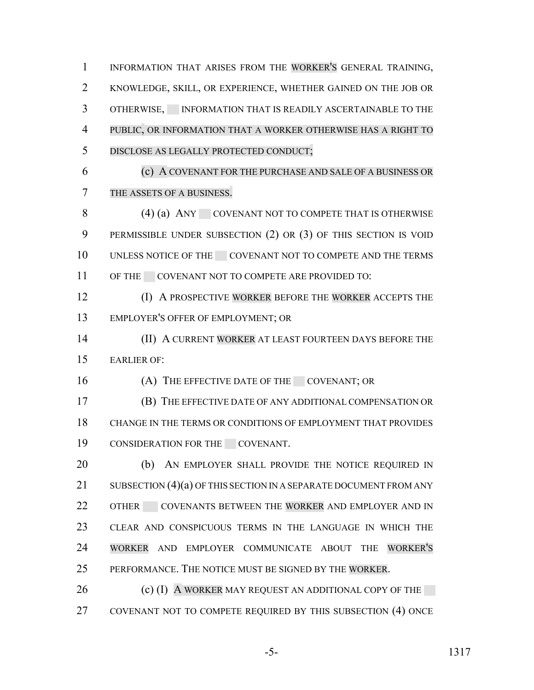INFORMATION THAT ARISES FROM THE WORKER'S GENERAL TRAINING, KNOWLEDGE, SKILL, OR EXPERIENCE, WHETHER GAINED ON THE JOB OR 3 OTHERWISE, INFORMATION THAT IS READILY ASCERTAINABLE TO THE PUBLIC, OR INFORMATION THAT A WORKER OTHERWISE HAS A RIGHT TO DISCLOSE AS LEGALLY PROTECTED CONDUCT; (c) A COVENANT FOR THE PURCHASE AND SALE OF A BUSINESS OR THE ASSETS OF A BUSINESS. 8 (4) (a) ANY COVENANT NOT TO COMPETE THAT IS OTHERWISE PERMISSIBLE UNDER SUBSECTION (2) OR (3) OF THIS SECTION IS VOID 10 UNLESS NOTICE OF THE COVENANT NOT TO COMPETE AND THE TERMS 11 OF THE COVENANT NOT TO COMPETE ARE PROVIDED TO: **(I) A PROSPECTIVE WORKER BEFORE THE WORKER ACCEPTS THE**  EMPLOYER'S OFFER OF EMPLOYMENT; OR (II) A CURRENT WORKER AT LEAST FOURTEEN DAYS BEFORE THE EARLIER OF: 16 (A) THE EFFECTIVE DATE OF THE COVENANT; OR (B) THE EFFECTIVE DATE OF ANY ADDITIONAL COMPENSATION OR CHANGE IN THE TERMS OR CONDITIONS OF EMPLOYMENT THAT PROVIDES 19 CONSIDERATION FOR THE COVENANT. 20 (b) AN EMPLOYER SHALL PROVIDE THE NOTICE REQUIRED IN 21 SUBSECTION (4)(a) OF THIS SECTION IN A SEPARATE DOCUMENT FROM ANY 22 OTHER COVENANTS BETWEEN THE WORKER AND EMPLOYER AND IN CLEAR AND CONSPICUOUS TERMS IN THE LANGUAGE IN WHICH THE WORKER AND EMPLOYER COMMUNICATE ABOUT THE WORKER'S PERFORMANCE. THE NOTICE MUST BE SIGNED BY THE WORKER. 26 (c) (I) A WORKER MAY REQUEST AN ADDITIONAL COPY OF THE COVENANT NOT TO COMPETE REQUIRED BY THIS SUBSECTION (4) ONCE

-5- 1317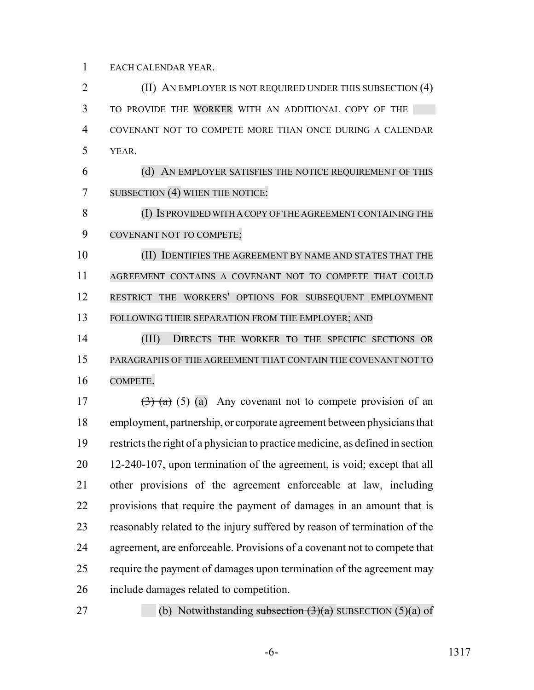EACH CALENDAR YEAR.

**(II)** AN EMPLOYER IS NOT REQUIRED UNDER THIS SUBSECTION (4) TO PROVIDE THE WORKER WITH AN ADDITIONAL COPY OF THE COVENANT NOT TO COMPETE MORE THAN ONCE DURING A CALENDAR YEAR. (d) AN EMPLOYER SATISFIES THE NOTICE REQUIREMENT OF THIS 7 SUBSECTION (4) WHEN THE NOTICE: (I) IS PROVIDED WITH A COPY OF THE AGREEMENT CONTAINING THE COVENANT NOT TO COMPETE; (II) IDENTIFIES THE AGREEMENT BY NAME AND STATES THAT THE AGREEMENT CONTAINS A COVENANT NOT TO COMPETE THAT COULD RESTRICT THE WORKERS' OPTIONS FOR SUBSEQUENT EMPLOYMENT

FOLLOWING THEIR SEPARATION FROM THE EMPLOYER; AND

14 (III) DIRECTS THE WORKER TO THE SPECIFIC SECTIONS OR PARAGRAPHS OF THE AGREEMENT THAT CONTAIN THE COVENANT NOT TO COMPETE.

 $(3)$   $(a)$   $(a)$  Any covenant not to compete provision of an employment, partnership, or corporate agreement between physicians that restricts the right of a physician to practice medicine, as defined in section 12-240-107, upon termination of the agreement, is void; except that all other provisions of the agreement enforceable at law, including provisions that require the payment of damages in an amount that is reasonably related to the injury suffered by reason of termination of the agreement, are enforceable. Provisions of a covenant not to compete that require the payment of damages upon termination of the agreement may include damages related to competition.

27 (b) Notwithstanding subsection  $(3)(a)$  SUBSECTION  $(5)(a)$  of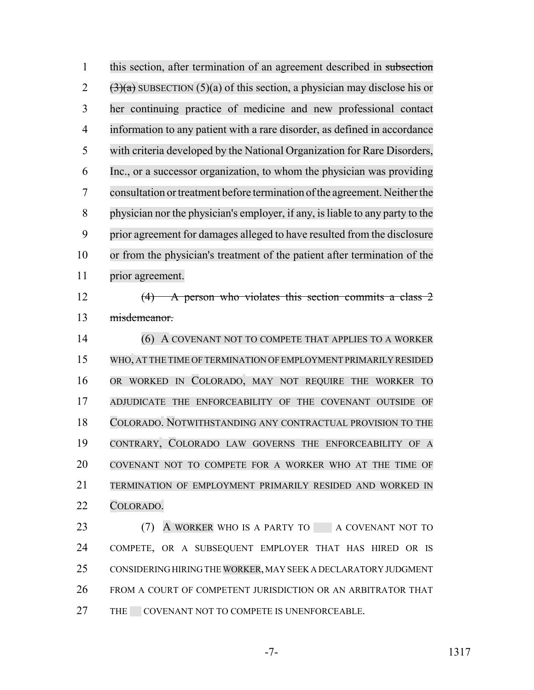1 this section, after termination of an agreement described in subsection  $(3)(a)$  SUBSECTION (5)(a) of this section, a physician may disclose his or her continuing practice of medicine and new professional contact information to any patient with a rare disorder, as defined in accordance with criteria developed by the National Organization for Rare Disorders, Inc., or a successor organization, to whom the physician was providing consultation ortreatment before termination of the agreement. Neither the physician nor the physician's employer, if any, isliable to any party to the prior agreement for damages alleged to have resulted from the disclosure or from the physician's treatment of the patient after termination of the prior agreement. (4) A person who violates this section commits a class 2 misdemeanor. 14 (6) A COVENANT NOT TO COMPETE THAT APPLIES TO A WORKER WHO, AT THE TIME OF TERMINATION OF EMPLOYMENT PRIMARILY RESIDED OR WORKED IN COLORADO, MAY NOT REQUIRE THE WORKER TO ADJUDICATE THE ENFORCEABILITY OF THE COVENANT OUTSIDE OF COLORADO. NOTWITHSTANDING ANY CONTRACTUAL PROVISION TO THE CONTRARY, COLORADO LAW GOVERNS THE ENFORCEABILITY OF A COVENANT NOT TO COMPETE FOR A WORKER WHO AT THE TIME OF TERMINATION OF EMPLOYMENT PRIMARILY RESIDED AND WORKED IN COLORADO. 23 (7) A WORKER WHO IS A PARTY TO A COVENANT NOT TO COMPETE, OR A SUBSEQUENT EMPLOYER THAT HAS HIRED OR IS CONSIDERING HIRING THE WORKER, MAY SEEK A DECLARATORY JUDGMENT FROM A COURT OF COMPETENT JURISDICTION OR AN ARBITRATOR THAT

27 THE COVENANT NOT TO COMPETE IS UNENFORCEABLE.